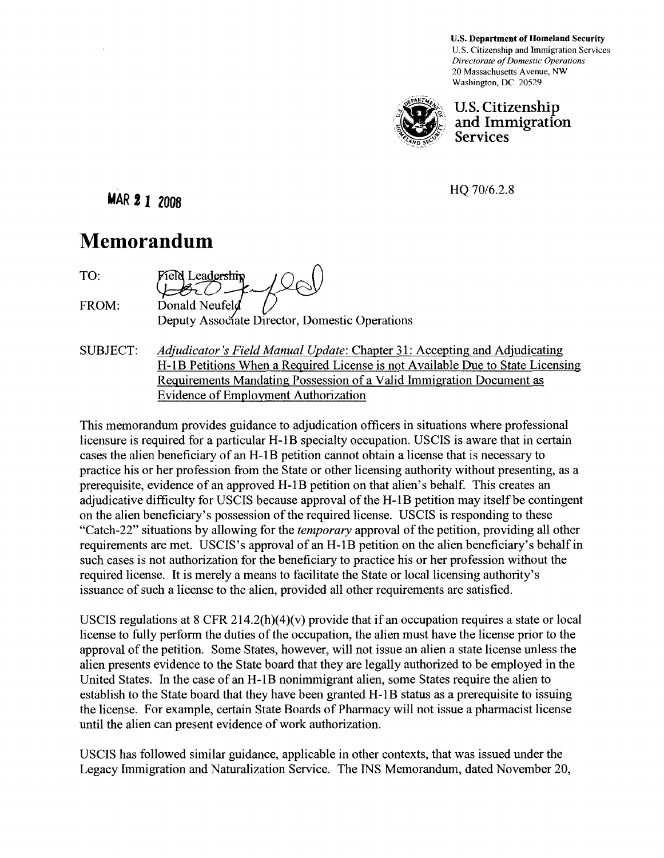U.S. Department of Homeland Security U.S. Citizenship and Immigration Services *Directorate of Domestic Operations*  20 Massachusetts A venue, NW Washington, DC 20529



u.s. Citizenship and Immigration Services

HQ 70/6.2.8

**MAR 2 1 2008** 

## **Memorandum**

TO: Field Leadership FROM: Donald Neufeld Deputy Associate Director, Domestic Operations

SUBJECT: *Adjudicator's Field Manual Update:* Chapter 31: Accepting and Adjudicating H-IB Petitions When a Required License is not Available Due to State Licensing Requirements Mandating Possession of a Valid Immigration Document as Evidence of Employment Authorization

This memorandum provides guidance to adjudication officers in situations where professional licensure is required for a particular H-1B specialty occupation. USCIS is aware that in certain cases the alien beneficiary of an H -I B petition cannot obtain a license that is necessary to practice his or her profession from the State or other licensing authority without presenting, as a prerequisite, evidence of an approved H-IB petition on that alien's behalf. This creates an adjudicative difficulty for USCIS because approval of the H-1B petition may itself be contingent on the alien beneficiary's possession of the required license. USCIS is responding to these "Catch-22" situations by allowing for the *temporary* approval of the petition, providing all other requirements are met. USCIS's approval of an H-1B petition on the alien beneficiary's behalf in such cases is not authorization for the beneficiary to practice his or her profession without the required license. It is merely a means to facilitate the State or local licensing authority's issuance of such a license to the alien, provided all other requirements are satisfied.

USCIS regulations at  $8$  CFR 214.2(h)(4)(v) provide that if an occupation requires a state or local license to fully perform the duties of the occupation, the alien must have the license prior to the approval of the petition. Some States, however, will not issue an alien a state license unless the alien presents evidence to the State board that they are legally authorized to be employed in the United States. In the case of an H-IB nonimmigrant alien, some States require the alien to establish to the State board that they have been granted H-IB status as a prerequisite to issuing the license. For example, certain State Boards of Pharmacy will not issue a pharmacist license until the alien can present evidence of work authorization.

USCIS has followed similar guidance, applicable in other contexts, that was issued under the Legacy Immigration and Naturalization Service. The INS Memorandum, dated November 20,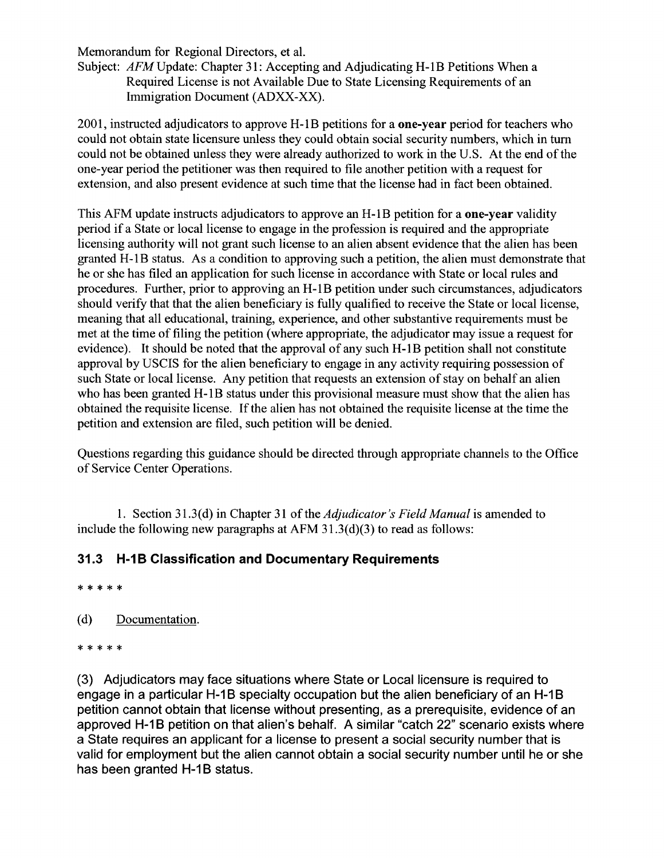Memorandum for Regional Directors, et al.

Subject: *AFM* Update: Chapter 31: Accepting and Adjudicating H-1B Petitions When a Required License is not Available Due to State Licensing Requirements of an Immigration Document (ADXX-XX).

2001, instructed adjudicators to approve H-1B petitions for a **one-year** period for teachers who could not obtain state licensure unless they could obtain social security numbers, which in turn could not be obtained unless they were already authorized to work in the U.S. At the end of the one-year period the petitioner was then required to file another petition with a request for extension, and also present evidence at such time that the license had in fact been obtained.

This AFM update instructs adjudicators to approve an H-IB petition for a one-year validity period if a State or local license to engage in the profession is required and the appropriate licensing authority will not grant such license to an alien absent evidence that the alien has been granted H-IB status. As a condition to approving such a petition, the alien must demonstrate that he or she has filed an application for such license in accordance with State or local rules and procedures. Further, prior to approving an H-IB petition under such circumstances, adjudicators should verify that that the alien beneficiary is fully qualified to receive the State or local license, meaning that all educational, training, experience, and other substantive requirements must be met at the time of filing the petition (where appropriate, the adjudicator may issue a request for evidence). It should be noted that the approval of any such H-1B petition shall not constitute approval by USCIS for the alien beneficiary to engage in any activity requiring possession of such State or local license. Any petition that requests an extension of stay on behalf an alien who has been granted H-1B status under this provisional measure must show that the alien has obtained the requisite license. If the alien has not obtained the requisite license at the time the petition and extension are filed, such petition will be denied.

Questions regarding this guidance should be directed through appropriate channels to the Office of Service Center Operations.

1. Section 31.3( d) in Chapter 31 of the *Adjudicator's Field Manual* is amended to include the following new paragraphs at AFM 31.3(d)(3) to read as follows:

## **31.3 H-1B Classification and Documentary Requirements**

\* \* \* \* \*

- (d) Documentation.
- \* \* \* \* \*

(3) Adjudicators may face situations where State or Local licensure is required to engage in a particular H-1B specialty occupation but the alien beneficiary of an H-1B petition cannot obtain that license without presenting, as a prerequisite, evidence of an approved H-1B petition on that alien's behalf. A similar "catch 22" scenario exists where a State requires an applicant for a license to present a social security number that is valid for employment but the alien cannot obtain a social security number until he or she has been granted H-1B status.